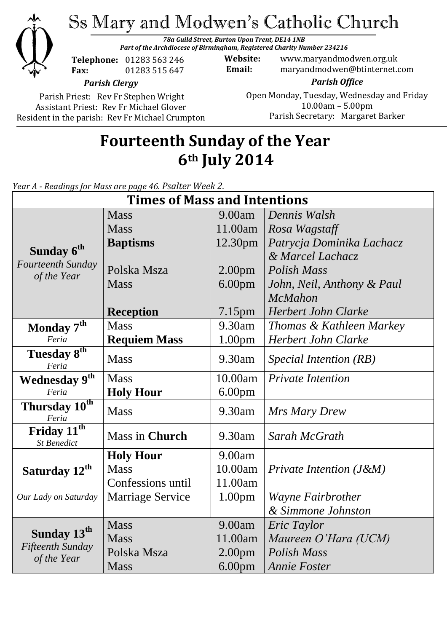

Ss Mary and Modwen's Catholic Church

*78a Guild Street, Burton Upon Trent, DE14 1NB Part of the Archdiocese of Birmingham, Registered Charity Number 234216*

**Telephone:** 01283 563 246 **Fax:** 01283 515 647

**Website:** www.maryandmodwen.org.uk **Email:** maryandmodwen@btinternet.com

*Parish Clergy*

Parish Priest: Rev Fr Stephen Wright Assistant Priest: Rev Fr Michael Glover Resident in the parish: Rev Fr Michael Crumpton

*Parish Office* Open Monday, Tuesday, Wednesday and Friday 10.00am – 5.00pm Parish Secretary:Margaret Barker

# **Fourteenth Sunday of the Year 6th July 2014**

*Year A - Readings for Mass are page 46. Psalter Week 2.*

| <b>Times of Mass and Intentions</b>                        |                         |                    |                            |
|------------------------------------------------------------|-------------------------|--------------------|----------------------------|
| Sunday 6 <sup>th</sup><br>Fourteenth Sunday<br>of the Year | <b>Mass</b>             | 9.00am             | Dennis Walsh               |
|                                                            | <b>Mass</b>             | 11.00am            | Rosa Wagstaff              |
|                                                            | <b>Baptisms</b>         | 12.30pm            | Patrycja Dominika Lachacz  |
|                                                            |                         |                    | & Marcel Lachacz           |
|                                                            | Polska Msza             | 2.00 <sub>pm</sub> | <b>Polish Mass</b>         |
|                                                            | <b>Mass</b>             | 6.00 <sub>pm</sub> | John, Neil, Anthony & Paul |
|                                                            |                         |                    | <b>McMahon</b>             |
|                                                            | <b>Reception</b>        | 7.15 <sub>pm</sub> | <b>Herbert John Clarke</b> |
| Monday 7 <sup>th</sup>                                     | <b>Mass</b>             | 9.30am             | Thomas & Kathleen Markey   |
| Feria                                                      | <b>Requiem Mass</b>     | 1.00pm             | Herbert John Clarke        |
| Tuesday 8th<br>Feria                                       | <b>Mass</b>             | 9.30am             | Special Intention (RB)     |
| Wednesday 9 <sup>th</sup><br>Feria                         | <b>Mass</b>             | 10.00am            | <b>Private Intention</b>   |
|                                                            | <b>Holy Hour</b>        | 6.00 <sub>pm</sub> |                            |
| Thursday 10 <sup>th</sup><br>Feria                         | <b>Mass</b>             | 9.30am             | Mrs Mary Drew              |
| Friday 11 <sup>th</sup><br><b>St Benedict</b>              | <b>Mass in Church</b>   | 9.30am             | Sarah McGrath              |
| Saturday 12 <sup>th</sup><br>Our Lady on Saturday          | <b>Holy Hour</b>        | 9.00am             |                            |
|                                                            | <b>Mass</b>             | 10.00am            | Private Intention $(J\&M)$ |
|                                                            | Confessions until       | 11.00am            |                            |
|                                                            | <b>Marriage Service</b> | 1.00 <sub>pm</sub> | Wayne Fairbrother          |
|                                                            |                         |                    | & Simmone Johnston         |
| Sunday 13 <sup>th</sup><br>Fifteenth Sunday<br>of the Year | <b>Mass</b>             | 9.00am             | Eric Taylor                |
|                                                            | <b>Mass</b>             | 11.00am            | Maureen O'Hara (UCM)       |
|                                                            | Polska Msza             | 2.00 <sub>pm</sub> | <b>Polish Mass</b>         |
|                                                            | <b>Mass</b>             | 6.00 <sub>pm</sub> | <b>Annie Foster</b>        |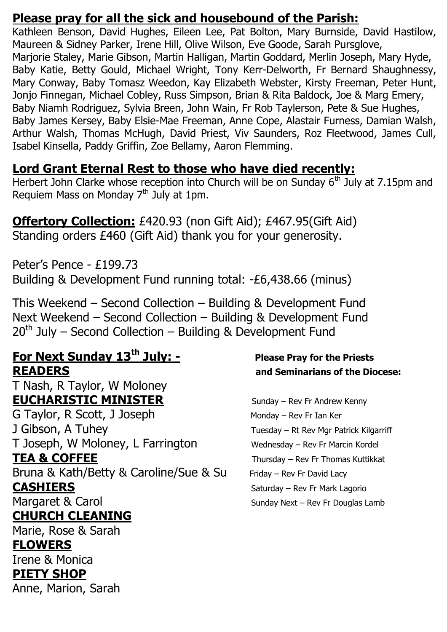#### **Please pray for all the sick and housebound of the Parish:**

Kathleen Benson, David Hughes, Eileen Lee, Pat Bolton, Mary Burnside, David Hastilow, Maureen & Sidney Parker, Irene Hill, Olive Wilson, Eve Goode, Sarah Pursglove, Marjorie Staley, Marie Gibson, Martin Halligan, Martin Goddard, Merlin Joseph, Mary Hyde, Baby Katie, Betty Gould, Michael Wright, Tony Kerr-Delworth, Fr Bernard Shaughnessy, Mary Conway, Baby Tomasz Weedon, Kay Elizabeth Webster, Kirsty Freeman, Peter Hunt, Jonjo Finnegan, Michael Cobley, Russ Simpson, Brian & Rita Baldock, Joe & Marg Emery, Baby Niamh Rodriguez, Sylvia Breen, John Wain, Fr Rob Taylerson, Pete & Sue Hughes, Baby James Kersey, Baby Elsie-Mae Freeman, Anne Cope, Alastair Furness, Damian Walsh, Arthur Walsh, Thomas McHugh, David Priest, Viv Saunders, Roz Fleetwood, James Cull, Isabel Kinsella, Paddy Griffin, Zoe Bellamy, Aaron Flemming.

## **Lord Grant Eternal Rest to those who have died recently:**

Herbert John Clarke whose reception into Church will be on Sunday 6<sup>th</sup> July at 7.15pm and Requiem Mass on Monday  $7<sup>th</sup>$  July at 1pm.

#### **Offertory Collection:** £420.93 (non Gift Aid); £467.95(Gift Aid) Standing orders £460 (Gift Aid) thank you for your generosity.

Peter's Pence - £199.73 Building & Development Fund running total: -£6,438.66 (minus)

This Weekend – Second Collection – Building & Development Fund Next Weekend – Second Collection – Building & Development Fund  $20<sup>th</sup>$  July – Second Collection – Building & Development Fund

## **For Next Sunday 13th July: - Please Pray for the Priests READERS and Seminarians of the Diocese:**

T Nash, R Taylor, W Moloney **EUCHARISTIC MINISTER** Sunday – Rev Fr Andrew Kenny G Taylor, R Scott, J Joseph Monday – Rev Fr Ian Ker J Gibson, A Tuhey Tuesday – Rt Rev Mgr Patrick Kilgarriff T Joseph, W Moloney, L Farrington Wednesday – Rev Fr Marcin Kordel **TEA & COFFEE** Thursday – Rev Fr Thomas Kuttikkat Bruna & Kath/Betty & Caroline/Sue & Su Friday - Rev Fr David Lacy **CASHIERS** Saturday – Rev Fr Mark Lagorio Margaret & Carol Sunday Next – Rev Fr Douglas Lamb **CHURCH CLEANING** Marie, Rose & Sarah **FLOWERS** 

Irene & Monica **PIETY SHOP**

Anne, Marion, Sarah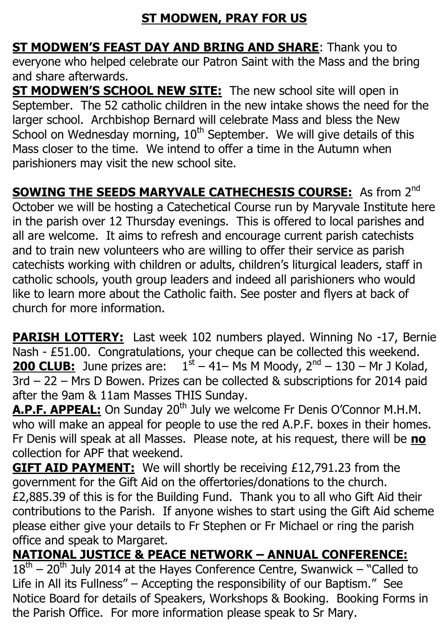## **ST MODWEN, PRAY FOR US**

**ST MODWEN'S FEAST DAY AND BRING AND SHARE**: Thank you to everyone who helped celebrate our Patron Saint with the Mass and the bring and share afterwards.

**ST MODWEN'S SCHOOL NEW SITE:** The new school site will open in September. The 52 catholic children in the new intake shows the need for the larger school. Archbishop Bernard will celebrate Mass and bless the New School on Wednesday morning,  $10<sup>th</sup>$  September. We will give details of this Mass closer to the time. We intend to offer a time in the Autumn when parishioners may visit the new school site.

**SOWING THE SEEDS MARYVALE CATHECHESIS COURSE:** As from 2<sup>nd</sup> October we will be hosting a Catechetical Course run by Maryvale Institute here in the parish over 12 Thursday evenings. This is offered to local parishes and all are welcome. It aims to refresh and encourage current parish catechists and to train new volunteers who are willing to offer their service as parish catechists working with children or adults, children's liturgical leaders, staff in catholic schools, youth group leaders and indeed all parishioners who would like to learn more about the Catholic faith. See poster and flyers at back of church for more information.

**PARISH LOTTERY:** Last week 102 numbers played. Winning No -17, Bernie Nash - £51.00. Congratulations, your cheque can be collected this weekend. **200 CLUB:** June prizes are:  $1^{st} - 41 - Ms$  M Moody,  $2^{nd} - 130 - Mr$  J Kolad, 3rd – 22 – Mrs D Bowen. Prizes can be collected & subscriptions for 2014 paid after the 9am & 11am Masses THIS Sunday.

A.P.F. APPEAL: On Sunday 20<sup>th</sup> July we welcome Fr Denis O'Connor M.H.M. who will make an appeal for people to use the red A.P.F. boxes in their homes. Fr Denis will speak at all Masses. Please note, at his request, there will be **no**  collection for APF that weekend.

**GIFT AID PAYMENT:** We will shortly be receiving £12,791.23 from the government for the Gift Aid on the offertories/donations to the church. £2,885.39 of this is for the Building Fund. Thank you to all who Gift Aid their contributions to the Parish. If anyone wishes to start using the Gift Aid scheme please either give your details to Fr Stephen or Fr Michael or ring the parish office and speak to Margaret.

## **NATIONAL JUSTICE & PEACE NETWORK – ANNUAL CONFERENCE:**

 $18<sup>th</sup> - 20<sup>th</sup>$  July 2014 at the Hayes Conference Centre, Swanwick – "Called to Life in All its Fullness" – Accepting the responsibility of our Baptism." See Notice Board for details of Speakers, Workshops & Booking. Booking Forms in the Parish Office. For more information please speak to Sr Mary.